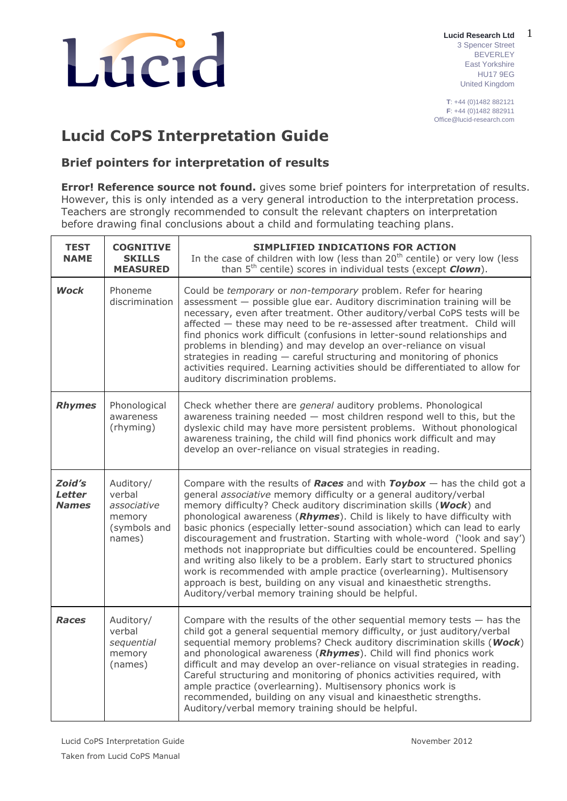

1 **Lucid Research Ltd** 3 Spencer Street BEVERLEY East Yorkshire HU17 9EG United Kingdom

**T**: +44 (0)1482 882121 **F**: +44 (0)1482 882911 Office@lucid-research.com

# **Lucid CoPS Interpretation Guide**

**Brief pointers for interpretation of results**

**Error! Reference source not found.** gives some brief pointers for interpretation of results. However, this is only intended as a very general introduction to the interpretation process. Teachers are strongly recommended to consult the relevant chapters on interpretation before drawing final conclusions about a child and formulating teaching plans.

| <b>TEST</b><br><b>NAME</b>              | <b>COGNITIVE</b><br><b>SKILLS</b><br><b>MEASURED</b>                   | SIMPLIFIED INDICATIONS FOR ACTION<br>In the case of children with low (less than $20th$ centile) or very low (less<br>than 5 <sup>th</sup> centile) scores in individual tests (except <i>Clown</i> ).                                                                                                                                                                                                                                                                                                                                                                                                                                                                                                                                                                                                                                  |
|-----------------------------------------|------------------------------------------------------------------------|-----------------------------------------------------------------------------------------------------------------------------------------------------------------------------------------------------------------------------------------------------------------------------------------------------------------------------------------------------------------------------------------------------------------------------------------------------------------------------------------------------------------------------------------------------------------------------------------------------------------------------------------------------------------------------------------------------------------------------------------------------------------------------------------------------------------------------------------|
| <b>Wock</b>                             | Phoneme<br>discrimination                                              | Could be temporary or non-temporary problem. Refer for hearing<br>assessment - possible glue ear. Auditory discrimination training will be<br>necessary, even after treatment. Other auditory/verbal CoPS tests will be<br>affected - these may need to be re-assessed after treatment. Child will<br>find phonics work difficult (confusions in letter-sound relationships and<br>problems in blending) and may develop an over-reliance on visual<br>strategies in reading $-$ careful structuring and monitoring of phonics<br>activities required. Learning activities should be differentiated to allow for<br>auditory discrimination problems.                                                                                                                                                                                   |
| <b>Rhymes</b>                           | Phonological<br>awareness<br>(rhyming)                                 | Check whether there are <i>general</i> auditory problems. Phonological<br>awareness training needed - most children respond well to this, but the<br>dyslexic child may have more persistent problems. Without phonological<br>awareness training, the child will find phonics work difficult and may<br>develop an over-reliance on visual strategies in reading.                                                                                                                                                                                                                                                                                                                                                                                                                                                                      |
| Zoid's<br><b>Letter</b><br><b>Names</b> | Auditory/<br>verbal<br>associative<br>memory<br>(symbols and<br>names) | Compare with the results of Races and with $Toybox -$ has the child got a<br>general associative memory difficulty or a general auditory/verbal<br>memory difficulty? Check auditory discrimination skills (Wock) and<br>phonological awareness ( <i>Rhymes</i> ). Child is likely to have difficulty with<br>basic phonics (especially letter-sound association) which can lead to early<br>discouragement and frustration. Starting with whole-word ('look and say')<br>methods not inappropriate but difficulties could be encountered. Spelling<br>and writing also likely to be a problem. Early start to structured phonics<br>work is recommended with ample practice (overlearning). Multisensory<br>approach is best, building on any visual and kinaesthetic strengths.<br>Auditory/verbal memory training should be helpful. |
| <b>Races</b>                            | Auditory/<br>verbal<br>sequential<br>memory<br>(names)                 | Compare with the results of the other sequential memory tests - has the<br>child got a general sequential memory difficulty, or just auditory/verbal<br>sequential memory problems? Check auditory discrimination skills (Wock)<br>and phonological awareness (Rhymes). Child will find phonics work<br>difficult and may develop an over-reliance on visual strategies in reading.<br>Careful structuring and monitoring of phonics activities required, with<br>ample practice (overlearning). Multisensory phonics work is<br>recommended, building on any visual and kinaesthetic strengths.<br>Auditory/verbal memory training should be helpful.                                                                                                                                                                                  |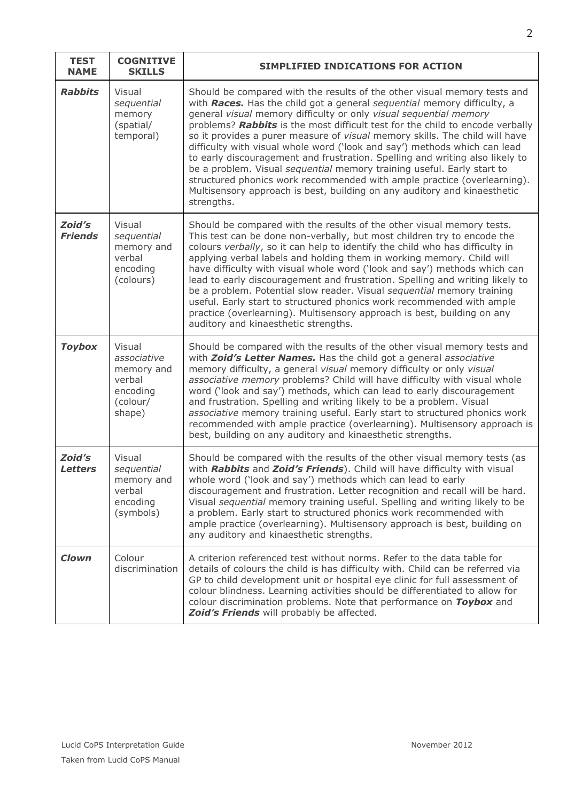| <b>TEST</b><br><b>NAME</b> | <b>COGNITIVE</b><br><b>SKILLS</b>                                               | SIMPLIFIED INDICATIONS FOR ACTION                                                                                                                                                                                                                                                                                                                                                                                                                                                                                                                                                                                                                                                                                                                                                                    |
|----------------------------|---------------------------------------------------------------------------------|------------------------------------------------------------------------------------------------------------------------------------------------------------------------------------------------------------------------------------------------------------------------------------------------------------------------------------------------------------------------------------------------------------------------------------------------------------------------------------------------------------------------------------------------------------------------------------------------------------------------------------------------------------------------------------------------------------------------------------------------------------------------------------------------------|
| <b>Rabbits</b>             | Visual<br>sequential<br>memory<br>(spatial/<br>temporal)                        | Should be compared with the results of the other visual memory tests and<br>with Races. Has the child got a general sequential memory difficulty, a<br>general visual memory difficulty or only visual sequential memory<br>problems? Rabbits is the most difficult test for the child to encode verbally<br>so it provides a purer measure of visual memory skills. The child will have<br>difficulty with visual whole word ('look and say') methods which can lead<br>to early discouragement and frustration. Spelling and writing also likely to<br>be a problem. Visual sequential memory training useful. Early start to<br>structured phonics work recommended with ample practice (overlearning).<br>Multisensory approach is best, building on any auditory and kinaesthetic<br>strengths. |
| Zoid's<br><b>Friends</b>   | Visual<br>sequential<br>memory and<br>verbal<br>encoding<br>(colours)           | Should be compared with the results of the other visual memory tests.<br>This test can be done non-verbally, but most children try to encode the<br>colours verbally, so it can help to identify the child who has difficulty in<br>applying verbal labels and holding them in working memory. Child will<br>have difficulty with visual whole word ('look and say') methods which can<br>lead to early discouragement and frustration. Spelling and writing likely to<br>be a problem. Potential slow reader. Visual sequential memory training<br>useful. Early start to structured phonics work recommended with ample<br>practice (overlearning). Multisensory approach is best, building on any<br>auditory and kinaesthetic strengths.                                                         |
| <b>Toybox</b>              | Visual<br>associative<br>memory and<br>verbal<br>encoding<br>(colour/<br>shape) | Should be compared with the results of the other visual memory tests and<br>with Zoid's Letter Names. Has the child got a general associative<br>memory difficulty, a general visual memory difficulty or only visual<br>associative memory problems? Child will have difficulty with visual whole<br>word ('look and say') methods, which can lead to early discouragement<br>and frustration. Spelling and writing likely to be a problem. Visual<br>associative memory training useful. Early start to structured phonics work<br>recommended with ample practice (overlearning). Multisensory approach is<br>best, building on any auditory and kinaesthetic strengths.                                                                                                                          |
| Zoid's<br><b>Letters</b>   | Visual<br>sequential<br>memory and<br>verbal<br>encoding<br>(symbols)           | Should be compared with the results of the other visual memory tests (as<br>with Rabbits and Zoid's Friends). Child will have difficulty with visual<br>whole word ('look and say') methods which can lead to early<br>discouragement and frustration. Letter recognition and recall will be hard.<br>Visual sequential memory training useful. Spelling and writing likely to be<br>a problem. Early start to structured phonics work recommended with<br>ample practice (overlearning). Multisensory approach is best, building on<br>any auditory and kinaesthetic strengths.                                                                                                                                                                                                                     |
| <b>Clown</b>               | Colour<br>discrimination                                                        | A criterion referenced test without norms. Refer to the data table for<br>details of colours the child is has difficulty with. Child can be referred via<br>GP to child development unit or hospital eye clinic for full assessment of<br>colour blindness. Learning activities should be differentiated to allow for<br>colour discrimination problems. Note that performance on Toybox and<br>Zoid's Friends will probably be affected.                                                                                                                                                                                                                                                                                                                                                            |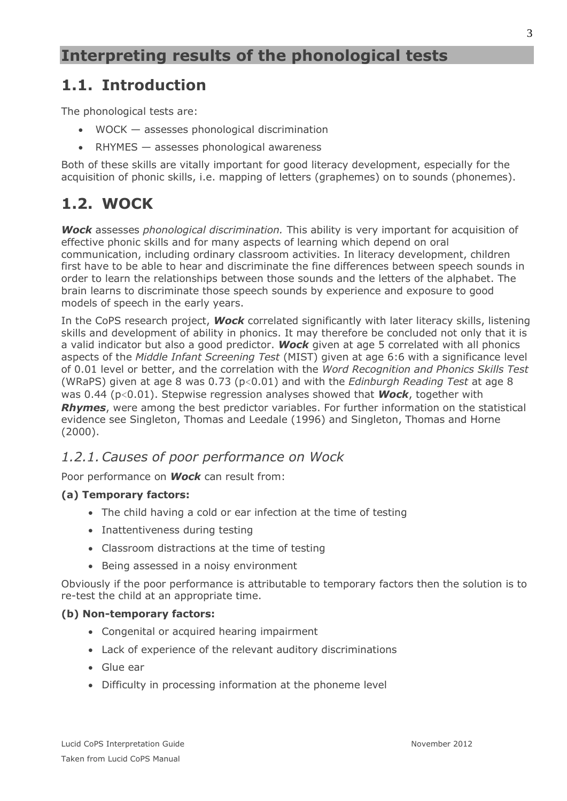### **1.1. Introduction**

The phonological tests are:

- WOCK assesses phonological discrimination
- RHYMES assesses phonological awareness

Both of these skills are vitally important for good literacy development, especially for the acquisition of phonic skills, i.e. mapping of letters (graphemes) on to sounds (phonemes).

# **1.2. WOCK**

*Wock* assesses *phonological discrimination.* This ability is very important for acquisition of effective phonic skills and for many aspects of learning which depend on oral communication, including ordinary classroom activities. In literacy development, children first have to be able to hear and discriminate the fine differences between speech sounds in order to learn the relationships between those sounds and the letters of the alphabet. The brain learns to discriminate those speech sounds by experience and exposure to good models of speech in the early years.

In the CoPS research project, *Wock* correlated significantly with later literacy skills, listening skills and development of ability in phonics. It may therefore be concluded not only that it is a valid indicator but also a good predictor. *Wock* given at age 5 correlated with all phonics aspects of the *Middle Infant Screening Test* (MIST) given at age 6:6 with a significance level of 0.01 level or better, and the correlation with the *Word Recognition and Phonics Skills Test*  (WRaPS) given at age 8 was 0.73 (p<0.01) and with the *Edinburgh Reading Test* at age 8 was 0.44 (p<0.01). Stepwise regression analyses showed that *Wock*, together with **Rhymes**, were among the best predictor variables. For further information on the statistical evidence see Singleton, Thomas and Leedale (1996) and Singleton, Thomas and Horne (2000).

#### *1.2.1.Causes of poor performance on Wock*

Poor performance on *Wock* can result from:

#### **(a) Temporary factors:**

- The child having a cold or ear infection at the time of testing
- Inattentiveness during testing
- Classroom distractions at the time of testing
- Being assessed in a noisy environment

Obviously if the poor performance is attributable to temporary factors then the solution is to re-test the child at an appropriate time.

#### **(b) Non-temporary factors:**

- Congenital or acquired hearing impairment
- Lack of experience of the relevant auditory discriminations
- Glue ear
- Difficulty in processing information at the phoneme level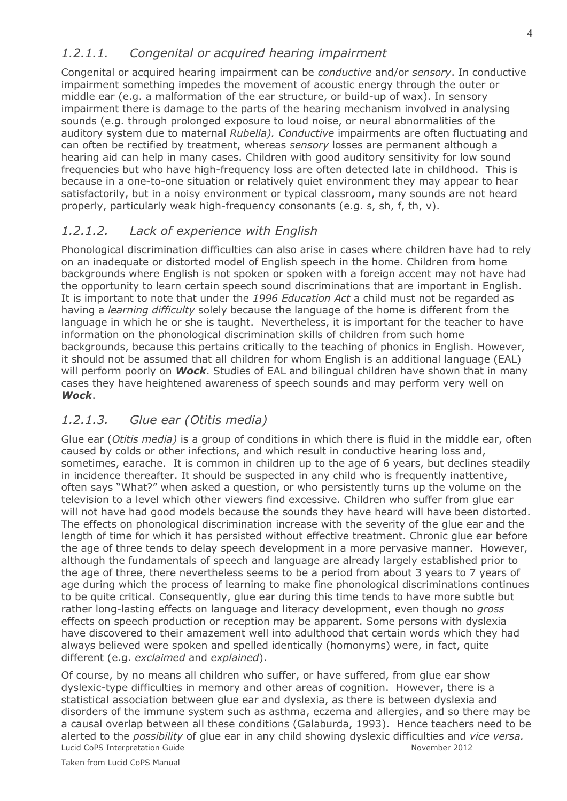#### *1.2.1.1. Congenital or acquired hearing impairment*

Congenital or acquired hearing impairment can be *conductive* and/or *sensory*. In conductive impairment something impedes the movement of acoustic energy through the outer or middle ear (e.g. a malformation of the ear structure, or build-up of wax). In sensory impairment there is damage to the parts of the hearing mechanism involved in analysing sounds (e.g. through prolonged exposure to loud noise, or neural abnormalities of the auditory system due to maternal *Rubella). Conductive* impairments are often fluctuating and can often be rectified by treatment, whereas *sensory* losses are permanent although a hearing aid can help in many cases. Children with good auditory sensitivity for low sound frequencies but who have high-frequency loss are often detected late in childhood. This is because in a one-to-one situation or relatively quiet environment they may appear to hear satisfactorily, but in a noisy environment or typical classroom, many sounds are not heard properly, particularly weak high-frequency consonants (e.g. s, sh, f, th, v).

#### *1.2.1.2. Lack of experience with English*

Phonological discrimination difficulties can also arise in cases where children have had to rely on an inadequate or distorted model of English speech in the home. Children from home backgrounds where English is not spoken or spoken with a foreign accent may not have had the opportunity to learn certain speech sound discriminations that are important in English. It is important to note that under the *1996 Education Act* a child must not be regarded as having a *learning difficulty* solely because the language of the home is different from the language in which he or she is taught. Nevertheless, it is important for the teacher to have information on the phonological discrimination skills of children from such home backgrounds, because this pertains critically to the teaching of phonics in English. However, it should not be assumed that all children for whom English is an additional language (EAL) will perform poorly on *Wock*. Studies of EAL and bilingual children have shown that in many cases they have heightened awareness of speech sounds and may perform very well on *Wock*.

#### *1.2.1.3. Glue ear (Otitis media)*

Glue ear (*Otitis media)* is a group of conditions in which there is fluid in the middle ear, often caused by colds or other infections, and which result in conductive hearing loss and, sometimes, earache. It is common in children up to the age of 6 years, but declines steadily in incidence thereafter. It should be suspected in any child who is frequently inattentive, often says "What?" when asked a question, or who persistently turns up the volume on the television to a level which other viewers find excessive. Children who suffer from glue ear will not have had good models because the sounds they have heard will have been distorted. The effects on phonological discrimination increase with the severity of the glue ear and the length of time for which it has persisted without effective treatment. Chronic glue ear before the age of three tends to delay speech development in a more pervasive manner. However, although the fundamentals of speech and language are already largely established prior to the age of three, there nevertheless seems to be a period from about 3 years to 7 years of age during which the process of learning to make fine phonological discriminations continues to be quite critical. Consequently, glue ear during this time tends to have more subtle but rather long-lasting effects on language and literacy development, even though no *gross* effects on speech production or reception may be apparent. Some persons with dyslexia have discovered to their amazement well into adulthood that certain words which they had always believed were spoken and spelled identically (homonyms) were, in fact, quite different (e.g. *exclaimed* and *explained*).

Lucid CoPS Interpretation Guide November 2012 Of course, by no means all children who suffer, or have suffered, from glue ear show dyslexic-type difficulties in memory and other areas of cognition. However, there is a statistical association between glue ear and dyslexia, as there is between dyslexia and disorders of the immune system such as asthma, eczema and allergies, and so there may be a causal overlap between all these conditions (Galaburda, 1993). Hence teachers need to be alerted to the *possibility* of glue ear in any child showing dyslexic difficulties and *vice versa.*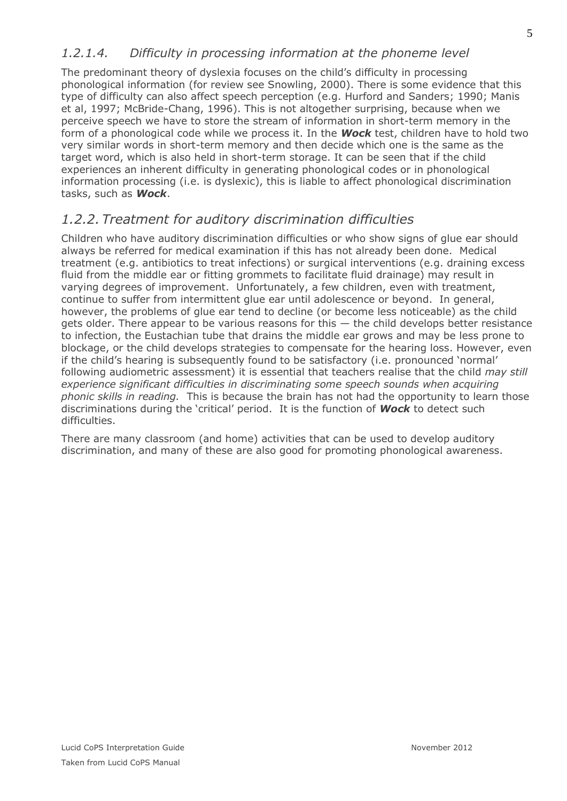#### *1.2.1.4. Difficulty in processing information at the phoneme level*

The predominant theory of dyslexia focuses on the child's difficulty in processing phonological information (for review see Snowling, 2000). There is some evidence that this type of difficulty can also affect speech perception (e.g. Hurford and Sanders; 1990; Manis et al, 1997; McBride-Chang, 1996). This is not altogether surprising, because when we perceive speech we have to store the stream of information in short-term memory in the form of a phonological code while we process it. In the *Wock* test, children have to hold two very similar words in short-term memory and then decide which one is the same as the target word, which is also held in short-term storage. It can be seen that if the child experiences an inherent difficulty in generating phonological codes or in phonological information processing (i.e. is dyslexic), this is liable to affect phonological discrimination tasks, such as *Wock*.

#### *1.2.2.Treatment for auditory discrimination difficulties*

Children who have auditory discrimination difficulties or who show signs of glue ear should always be referred for medical examination if this has not already been done. Medical treatment (e.g. antibiotics to treat infections) or surgical interventions (e.g. draining excess fluid from the middle ear or fitting grommets to facilitate fluid drainage) may result in varying degrees of improvement. Unfortunately, a few children, even with treatment, continue to suffer from intermittent glue ear until adolescence or beyond. In general, however, the problems of glue ear tend to decline (or become less noticeable) as the child gets older. There appear to be various reasons for this  $-$  the child develops better resistance to infection, the Eustachian tube that drains the middle ear grows and may be less prone to blockage, or the child develops strategies to compensate for the hearing loss. However, even if the child's hearing is subsequently found to be satisfactory (i.e. pronounced 'normal' following audiometric assessment) it is essential that teachers realise that the child *may still experience significant difficulties in discriminating some speech sounds when acquiring phonic skills in reading.* This is because the brain has not had the opportunity to learn those discriminations during the 'critical' period. It is the function of *Wock* to detect such difficulties.

There are many classroom (and home) activities that can be used to develop auditory discrimination, and many of these are also good for promoting phonological awareness.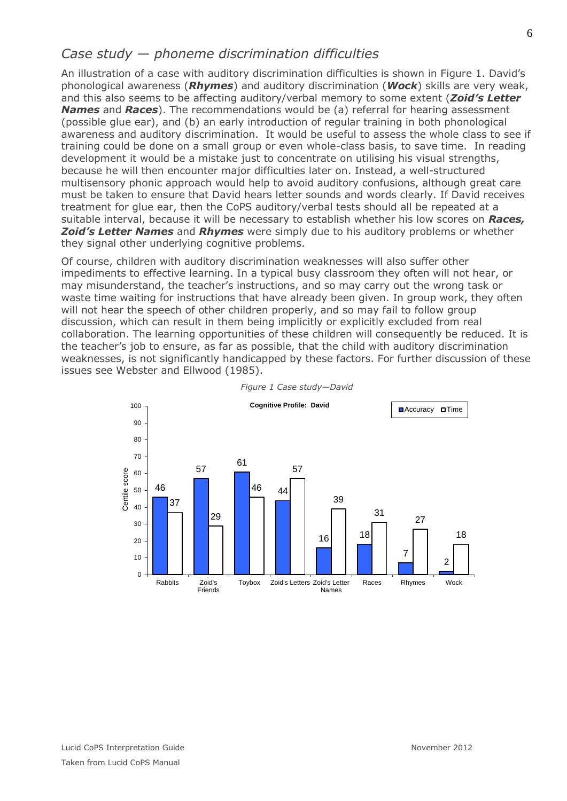#### *Case study — phoneme discrimination difficulties*

An illustration of a case with auditory discrimination difficulties is shown in [Figure 1](#page-5-0). David's phonological awareness (*Rhymes*) and auditory discrimination (*Wock*) skills are very weak, and this also seems to be affecting auditory/verbal memory to some extent (*Zoid's Letter Names* and *Races*). The recommendations would be (a) referral for hearing assessment (possible glue ear), and (b) an early introduction of regular training in both phonological awareness and auditory discrimination. It would be useful to assess the whole class to see if training could be done on a small group or even whole-class basis, to save time. In reading development it would be a mistake just to concentrate on utilising his visual strengths, because he will then encounter major difficulties later on. Instead, a well-structured multisensory phonic approach would help to avoid auditory confusions, although great care must be taken to ensure that David hears letter sounds and words clearly. If David receives treatment for glue ear, then the CoPS auditory/verbal tests should all be repeated at a suitable interval, because it will be necessary to establish whether his low scores on *Races, Zoid's Letter Names* and *Rhymes* were simply due to his auditory problems or whether they signal other underlying cognitive problems.

Of course, children with auditory discrimination weaknesses will also suffer other impediments to effective learning. In a typical busy classroom they often will not hear, or may misunderstand, the teacher's instructions, and so may carry out the wrong task or waste time waiting for instructions that have already been given. In group work, they often will not hear the speech of other children properly, and so may fail to follow group discussion, which can result in them being implicitly or explicitly excluded from real collaboration. The learning opportunities of these children will consequently be reduced. It is the teacher's job to ensure, as far as possible, that the child with auditory discrimination weaknesses, is not significantly handicapped by these factors. For further discussion of these issues see Webster and Ellwood (1985).

<span id="page-5-0"></span>

*Figure 1 Case study—David*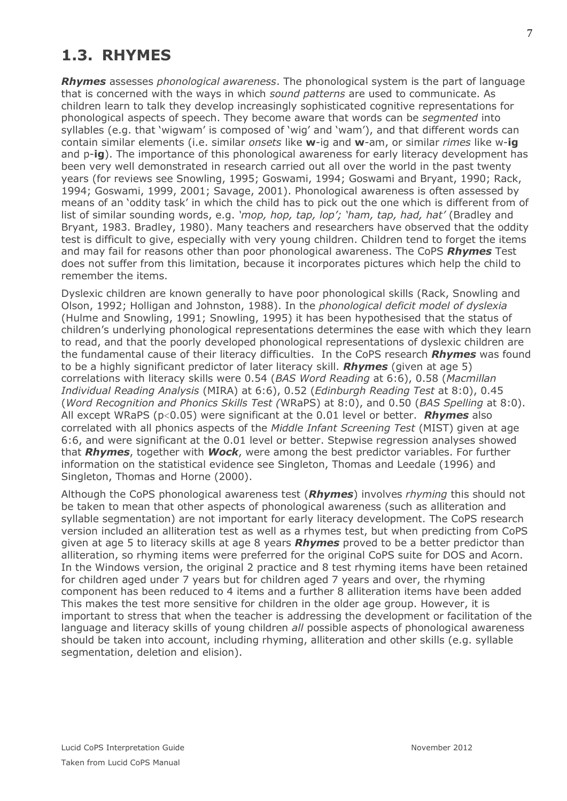## **1.3. RHYMES**

*Rhymes* assesses *phonological awareness*. The phonological system is the part of language that is concerned with the ways in which *sound patterns* are used to communicate. As children learn to talk they develop increasingly sophisticated cognitive representations for phonological aspects of speech. They become aware that words can be *segmented* into syllables (e.g. that 'wigwam' is composed of 'wig' and 'wam'), and that different words can contain similar elements (i.e. similar *onsets* like **w**-ig and **w**-am, or similar *rimes* like w-**ig** and p-**ig**). The importance of this phonological awareness for early literacy development has been very well demonstrated in research carried out all over the world in the past twenty years (for reviews see Snowling, 1995; Goswami, 1994; Goswami and Bryant, 1990; Rack, 1994; Goswami, 1999, 2001; Savage, 2001). Phonological awareness is often assessed by means of an 'oddity task' in which the child has to pick out the one which is different from of list of similar sounding words, e.g. *'mop, hop, tap, lop'; 'ham, tap, had, hat'* (Bradley and Bryant, 1983. Bradley, 1980). Many teachers and researchers have observed that the oddity test is difficult to give, especially with very young children. Children tend to forget the items and may fail for reasons other than poor phonological awareness. The CoPS *Rhymes* Test does not suffer from this limitation, because it incorporates pictures which help the child to remember the items.

Dyslexic children are known generally to have poor phonological skills (Rack, Snowling and Olson, 1992; Holligan and Johnston, 1988). In the *phonological deficit model of dyslexia* (Hulme and Snowling, 1991; Snowling, 1995) it has been hypothesised that the status of children's underlying phonological representations determines the ease with which they learn to read, and that the poorly developed phonological representations of dyslexic children are the fundamental cause of their literacy difficulties. In the CoPS research *Rhymes* was found to be a highly significant predictor of later literacy skill. *Rhymes* (given at age 5) correlations with literacy skills were 0.54 (*BAS Word Reading* at 6:6), 0.58 (*Macmillan Individual Reading Analysis* (MIRA) at 6:6), 0.52 (*Edinburgh Reading Test* at 8:0), 0.45 (*Word Recognition and Phonics Skills Test (*WRaPS) at 8:0), and 0.50 (*BAS Spelling* at 8:0). All except WRaPS (p<0.05) were significant at the 0.01 level or better. *Rhymes* also correlated with all phonics aspects of the *Middle Infant Screening Test* (MIST) given at age 6:6, and were significant at the 0.01 level or better. Stepwise regression analyses showed that *Rhymes*, together with *Wock*, were among the best predictor variables. For further information on the statistical evidence see Singleton, Thomas and Leedale (1996) and Singleton, Thomas and Horne (2000).

Although the CoPS phonological awareness test (*Rhymes*) involves *rhyming* this should not be taken to mean that other aspects of phonological awareness (such as alliteration and syllable segmentation) are not important for early literacy development. The CoPS research version included an alliteration test as well as a rhymes test, but when predicting from CoPS given at age 5 to literacy skills at age 8 years *Rhymes* proved to be a better predictor than alliteration, so rhyming items were preferred for the original CoPS suite for DOS and Acorn. In the Windows version, the original 2 practice and 8 test rhyming items have been retained for children aged under 7 years but for children aged 7 years and over, the rhyming component has been reduced to 4 items and a further 8 alliteration items have been added This makes the test more sensitive for children in the older age group. However, it is important to stress that when the teacher is addressing the development or facilitation of the language and literacy skills of young children *all* possible aspects of phonological awareness should be taken into account, including rhyming, alliteration and other skills (e.g. syllable segmentation, deletion and elision).

7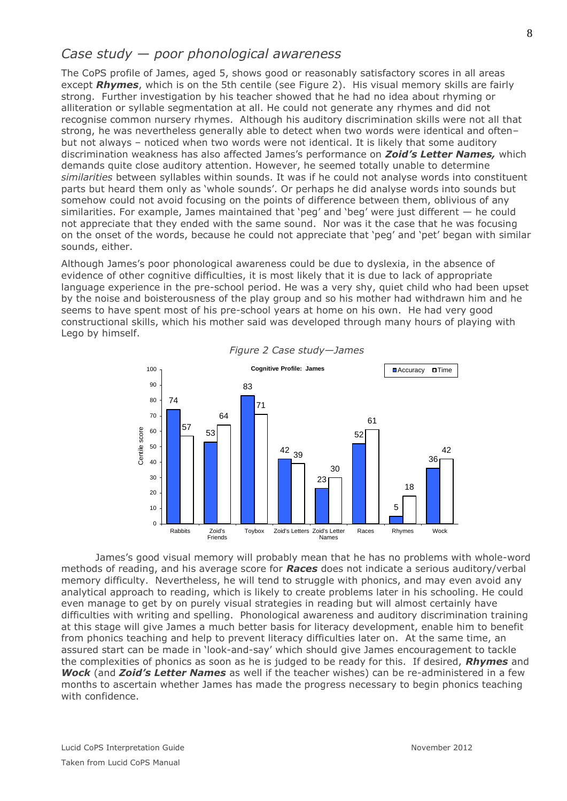#### *Case study — poor phonological awareness*

The CoPS profile of James, aged 5, shows good or reasonably satisfactory scores in all areas except *Rhymes*, which is on the 5th centile (see [Figure 2\)](#page-7-0). His visual memory skills are fairly strong. Further investigation by his teacher showed that he had no idea about rhyming or alliteration or syllable segmentation at all. He could not generate any rhymes and did not recognise common nursery rhymes. Although his auditory discrimination skills were not all that strong, he was nevertheless generally able to detect when two words were identical and often– but not always – noticed when two words were not identical. It is likely that some auditory discrimination weakness has also affected James's performance on *Zoid's Letter Names,* which demands quite close auditory attention. However, he seemed totally unable to determine *similarities* between syllables within sounds. It was if he could not analyse words into constituent parts but heard them only as 'whole sounds'. Or perhaps he did analyse words into sounds but somehow could not avoid focusing on the points of difference between them, oblivious of any similarities. For example, James maintained that 'peg' and 'beg' were just different — he could not appreciate that they ended with the same sound. Nor was it the case that he was focusing on the onset of the words, because he could not appreciate that 'peg' and 'pet' began with similar sounds, either.

Although James's poor phonological awareness could be due to dyslexia, in the absence of evidence of other cognitive difficulties, it is most likely that it is due to lack of appropriate language experience in the pre-school period. He was a very shy, quiet child who had been upset by the noise and boisterousness of the play group and so his mother had withdrawn him and he seems to have spent most of his pre-school years at home on his own. He had very good constructional skills, which his mother said was developed through many hours of playing with Lego by himself.

<span id="page-7-0"></span>



James's good visual memory will probably mean that he has no problems with whole-word methods of reading, and his average score for *Races* does not indicate a serious auditory/verbal memory difficulty. Nevertheless, he will tend to struggle with phonics, and may even avoid any analytical approach to reading, which is likely to create problems later in his schooling. He could even manage to get by on purely visual strategies in reading but will almost certainly have difficulties with writing and spelling. Phonological awareness and auditory discrimination training at this stage will give James a much better basis for literacy development, enable him to benefit from phonics teaching and help to prevent literacy difficulties later on. At the same time, an assured start can be made in 'look-and-say' which should give James encouragement to tackle the complexities of phonics as soon as he is judged to be ready for this. If desired, *Rhymes* and *Wock* (and *Zoid's Letter Names* as well if the teacher wishes) can be re-administered in a few months to ascertain whether James has made the progress necessary to begin phonics teaching with confidence.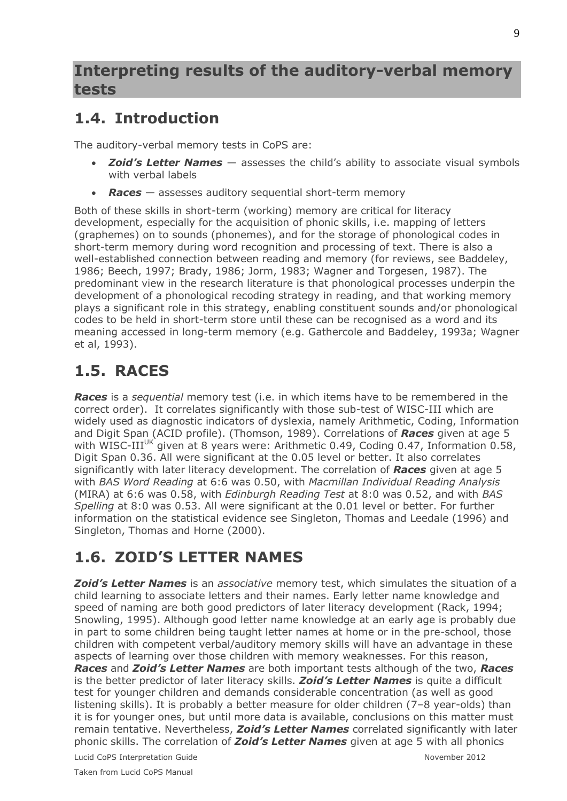### **Interpreting results of the auditory-verbal memory tests**

## **1.4. Introduction**

The auditory-verbal memory tests in CoPS are:

- *Zoid's Letter Names* assesses the child's ability to associate visual symbols with verbal labels
- *Races* assesses auditory sequential short-term memory

Both of these skills in short-term (working) memory are critical for literacy development, especially for the acquisition of phonic skills, i.e. mapping of letters (graphemes) on to sounds (phonemes), and for the storage of phonological codes in short-term memory during word recognition and processing of text. There is also a well-established connection between reading and memory (for reviews, see Baddeley, 1986; Beech, 1997; Brady, 1986; Jorm, 1983; Wagner and Torgesen, 1987). The predominant view in the research literature is that phonological processes underpin the development of a phonological recoding strategy in reading, and that working memory plays a significant role in this strategy, enabling constituent sounds and/or phonological codes to be held in short-term store until these can be recognised as a word and its meaning accessed in long-term memory (e.g. Gathercole and Baddeley, 1993a; Wagner et al, 1993).

# **1.5. RACES**

*Races* is a *sequential* memory test (i.e. in which items have to be remembered in the correct order). It correlates significantly with those sub-test of WISC-III which are widely used as diagnostic indicators of dyslexia, namely Arithmetic, Coding, Information and Digit Span (ACID profile). (Thomson, 1989). Correlations of *Races* given at age 5 with WISC-III<sup>UK</sup> given at 8 years were: Arithmetic 0.49, Coding 0.47, Information 0.58, Digit Span 0.36. All were significant at the 0.05 level or better. It also correlates significantly with later literacy development. The correlation of *Races* given at age 5 with *BAS Word Reading* at 6:6 was 0.50, with *Macmillan Individual Reading Analysis* (MIRA) at 6:6 was 0.58, with *Edinburgh Reading Test* at 8:0 was 0.52, and with *BAS Spelling* at 8:0 was 0.53. All were significant at the 0.01 level or better. For further information on the statistical evidence see Singleton, Thomas and Leedale (1996) and Singleton, Thomas and Horne (2000).

# **1.6. ZOID'S LETTER NAMES**

**Zoid's Letter Names** is an *associative* memory test, which simulates the situation of a child learning to associate letters and their names. Early letter name knowledge and speed of naming are both good predictors of later literacy development (Rack, 1994; Snowling, 1995). Although good letter name knowledge at an early age is probably due in part to some children being taught letter names at home or in the pre-school, those children with competent verbal/auditory memory skills will have an advantage in these aspects of learning over those children with memory weaknesses. For this reason, *Races* and *Zoid's Letter Names* are both important tests although of the two, *Races* is the better predictor of later literacy skills. *Zoid's Letter Names* is quite a difficult test for younger children and demands considerable concentration (as well as good listening skills). It is probably a better measure for older children (7–8 year-olds) than it is for younger ones, but until more data is available, conclusions on this matter must remain tentative. Nevertheless, *Zoid's Letter Names* correlated significantly with later phonic skills. The correlation of *Zoid's Letter Names* given at age 5 with all phonics

Lucid CoPS Interpretation Guide November 2012

Taken from Lucid CoPS Manual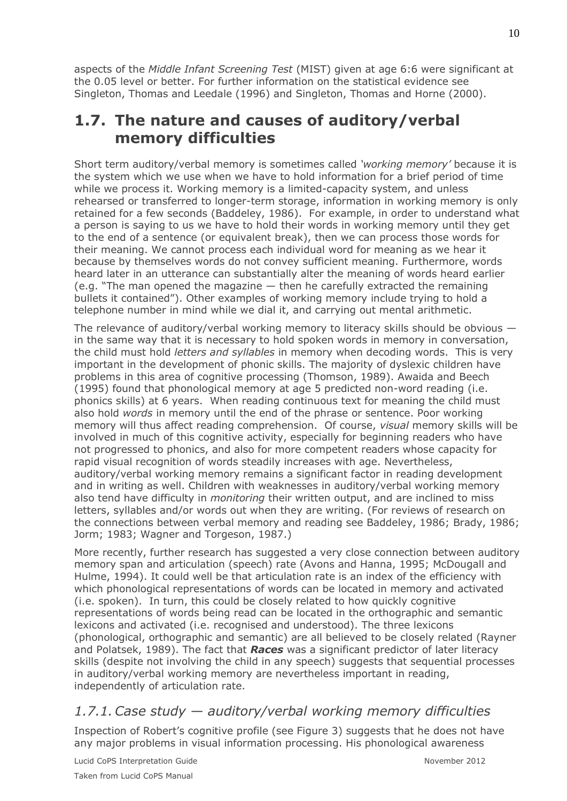aspects of the *Middle Infant Screening Test* (MIST) given at age 6:6 were significant at the 0.05 level or better. For further information on the statistical evidence see Singleton, Thomas and Leedale (1996) and Singleton, Thomas and Horne (2000).

### **1.7. The nature and causes of auditory/verbal memory difficulties**

Short term auditory/verbal memory is sometimes called *'working memory'* because it is the system which we use when we have to hold information for a brief period of time while we process it. Working memory is a limited-capacity system, and unless rehearsed or transferred to longer-term storage, information in working memory is only retained for a few seconds (Baddeley, 1986). For example, in order to understand what a person is saying to us we have to hold their words in working memory until they get to the end of a sentence (or equivalent break), then we can process those words for their meaning. We cannot process each individual word for meaning as we hear it because by themselves words do not convey sufficient meaning. Furthermore, words heard later in an utterance can substantially alter the meaning of words heard earlier (e.g. "The man opened the magazine — then he carefully extracted the remaining bullets it contained"). Other examples of working memory include trying to hold a telephone number in mind while we dial it, and carrying out mental arithmetic.

The relevance of auditory/verbal working memory to literacy skills should be obvious in the same way that it is necessary to hold spoken words in memory in conversation, the child must hold *letters and syllables* in memory when decoding words. This is very important in the development of phonic skills. The majority of dyslexic children have problems in this area of cognitive processing (Thomson, 1989). Awaida and Beech (1995) found that phonological memory at age 5 predicted non-word reading (i.e. phonics skills) at 6 years. When reading continuous text for meaning the child must also hold *words* in memory until the end of the phrase or sentence. Poor working memory will thus affect reading comprehension. Of course, *visual* memory skills will be involved in much of this cognitive activity, especially for beginning readers who have not progressed to phonics, and also for more competent readers whose capacity for rapid visual recognition of words steadily increases with age. Nevertheless, auditory/verbal working memory remains a significant factor in reading development and in writing as well. Children with weaknesses in auditory/verbal working memory also tend have difficulty in *monitoring* their written output, and are inclined to miss letters, syllables and/or words out when they are writing. (For reviews of research on the connections between verbal memory and reading see Baddeley, 1986; Brady, 1986; Jorm; 1983; Wagner and Torgeson, 1987.)

More recently, further research has suggested a very close connection between auditory memory span and articulation (speech) rate (Avons and Hanna, 1995; McDougall and Hulme, 1994). It could well be that articulation rate is an index of the efficiency with which phonological representations of words can be located in memory and activated (i.e. spoken). In turn, this could be closely related to how quickly cognitive representations of words being read can be located in the orthographic and semantic lexicons and activated (i.e. recognised and understood). The three lexicons (phonological, orthographic and semantic) are all believed to be closely related (Rayner and Polatsek, 1989). The fact that *Races* was a significant predictor of later literacy skills (despite not involving the child in any speech) suggests that sequential processes in auditory/verbal working memory are nevertheless important in reading, independently of articulation rate.

#### *1.7.1.Case study — auditory/verbal working memory difficulties*

Inspection of Robert's cognitive profile (see [Figure 3\)](#page-10-0) suggests that he does not have any major problems in visual information processing. His phonological awareness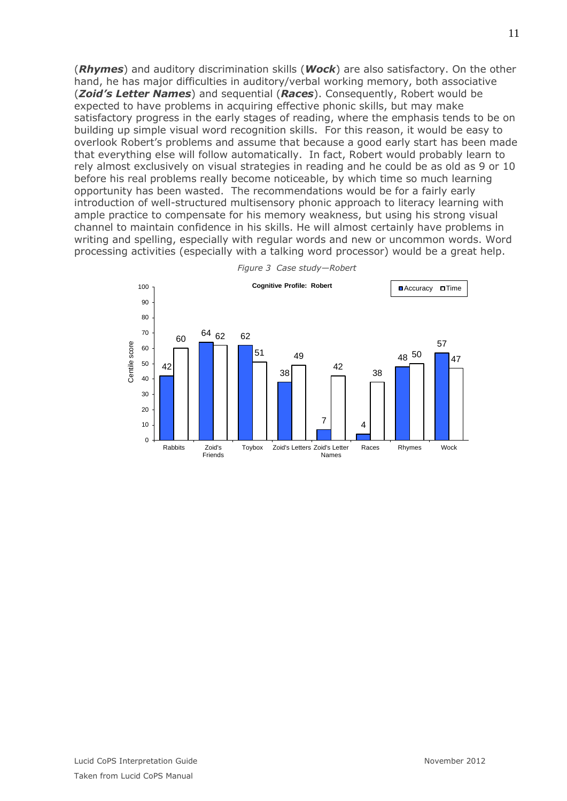(*Rhymes*) and auditory discrimination skills (*Wock*) are also satisfactory. On the other hand, he has major difficulties in auditory/verbal working memory, both associative (*Zoid's Letter Names*) and sequential (*Races*). Consequently, Robert would be expected to have problems in acquiring effective phonic skills, but may make satisfactory progress in the early stages of reading, where the emphasis tends to be on building up simple visual word recognition skills. For this reason, it would be easy to overlook Robert's problems and assume that because a good early start has been made that everything else will follow automatically. In fact, Robert would probably learn to rely almost exclusively on visual strategies in reading and he could be as old as 9 or 10 before his real problems really become noticeable, by which time so much learning opportunity has been wasted. The recommendations would be for a fairly early introduction of well-structured multisensory phonic approach to literacy learning with ample practice to compensate for his memory weakness, but using his strong visual channel to maintain confidence in his skills. He will almost certainly have problems in writing and spelling, especially with regular words and new or uncommon words. Word processing activities (especially with a talking word processor) would be a great help.

<span id="page-10-0"></span>

*Figure 3 Case study—Robert*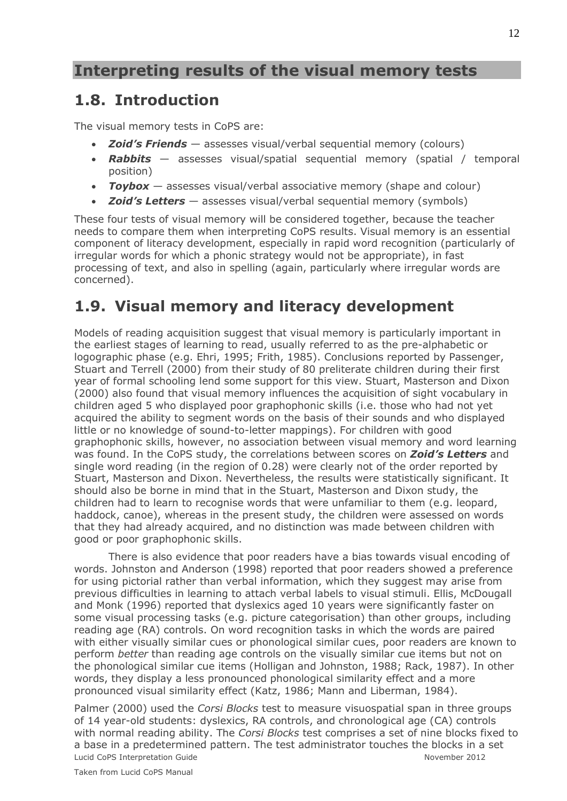## **Interpreting results of the visual memory tests**

### **1.8. Introduction**

The visual memory tests in CoPS are:

- *Zoid's Friends* assesses visual/verbal sequential memory (colours)
- *Rabbits* assesses visual/spatial sequential memory (spatial / temporal position)
- *Toybox* assesses visual/verbal associative memory (shape and colour)
- **Zoid's Letters** assesses visual/verbal sequential memory (symbols)

These four tests of visual memory will be considered together, because the teacher needs to compare them when interpreting CoPS results. Visual memory is an essential component of literacy development, especially in rapid word recognition (particularly of irregular words for which a phonic strategy would not be appropriate), in fast processing of text, and also in spelling (again, particularly where irregular words are concerned).

### **1.9. Visual memory and literacy development**

Models of reading acquisition suggest that visual memory is particularly important in the earliest stages of learning to read, usually referred to as the pre-alphabetic or logographic phase (e.g. Ehri, 1995; Frith, 1985). Conclusions reported by Passenger, Stuart and Terrell (2000) from their study of 80 preliterate children during their first year of formal schooling lend some support for this view. Stuart, Masterson and Dixon (2000) also found that visual memory influences the acquisition of sight vocabulary in children aged 5 who displayed poor graphophonic skills (i.e. those who had not yet acquired the ability to segment words on the basis of their sounds and who displayed little or no knowledge of sound-to-letter mappings). For children with good graphophonic skills, however, no association between visual memory and word learning was found. In the CoPS study, the correlations between scores on *Zoid's Letters* and single word reading (in the region of 0.28) were clearly not of the order reported by Stuart, Masterson and Dixon. Nevertheless, the results were statistically significant. It should also be borne in mind that in the Stuart, Masterson and Dixon study, the children had to learn to recognise words that were unfamiliar to them (e.g. leopard, haddock, canoe), whereas in the present study, the children were assessed on words that they had already acquired, and no distinction was made between children with good or poor graphophonic skills.

There is also evidence that poor readers have a bias towards visual encoding of words. Johnston and Anderson (1998) reported that poor readers showed a preference for using pictorial rather than verbal information, which they suggest may arise from previous difficulties in learning to attach verbal labels to visual stimuli. Ellis, McDougall and Monk (1996) reported that dyslexics aged 10 years were significantly faster on some visual processing tasks (e.g. picture categorisation) than other groups, including reading age (RA) controls. On word recognition tasks in which the words are paired with either visually similar cues or phonological similar cues, poor readers are known to perform *better* than reading age controls on the visually similar cue items but not on the phonological similar cue items (Holligan and Johnston, 1988; Rack, 1987). In other words, they display a less pronounced phonological similarity effect and a more pronounced visual similarity effect (Katz, 1986; Mann and Liberman, 1984).

Lucid CoPS Interpretation Guide November 2012 Palmer (2000) used the *Corsi Blocks* test to measure visuospatial span in three groups of 14 year-old students: dyslexics, RA controls, and chronological age (CA) controls with normal reading ability. The *Corsi Blocks* test comprises a set of nine blocks fixed to a base in a predetermined pattern. The test administrator touches the blocks in a set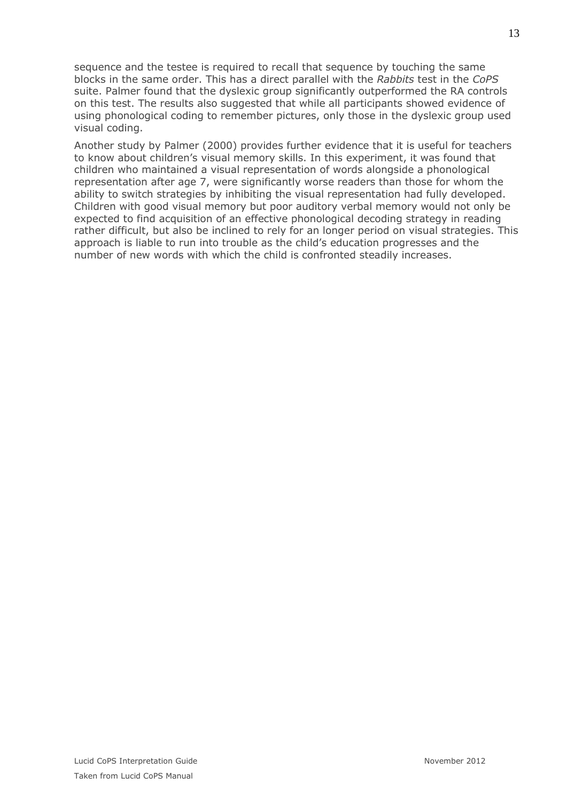sequence and the testee is required to recall that sequence by touching the same blocks in the same order. This has a direct parallel with the *Rabbits* test in the *CoPS* suite. Palmer found that the dyslexic group significantly outperformed the RA controls on this test. The results also suggested that while all participants showed evidence of using phonological coding to remember pictures, only those in the dyslexic group used visual coding.

Another study by Palmer (2000) provides further evidence that it is useful for teachers to know about children's visual memory skills. In this experiment, it was found that children who maintained a visual representation of words alongside a phonological representation after age 7, were significantly worse readers than those for whom the ability to switch strategies by inhibiting the visual representation had fully developed. Children with good visual memory but poor auditory verbal memory would not only be expected to find acquisition of an effective phonological decoding strategy in reading rather difficult, but also be inclined to rely for an longer period on visual strategies. This approach is liable to run into trouble as the child's education progresses and the number of new words with which the child is confronted steadily increases.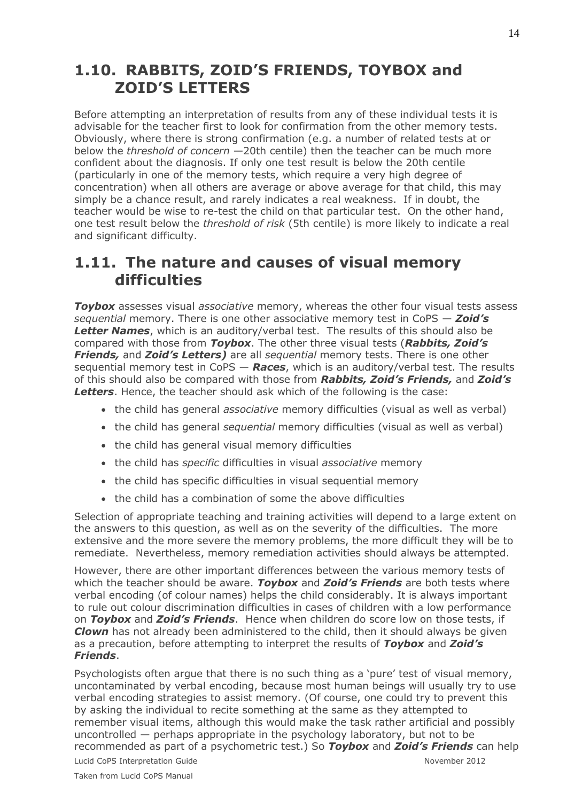### **1.10. RABBITS, ZOID'S FRIENDS, TOYBOX and ZOID'S LETTERS**

Before attempting an interpretation of results from any of these individual tests it is advisable for the teacher first to look for confirmation from the other memory tests. Obviously, where there is strong confirmation (e.g. a number of related tests at or below the *threshold of concern* —20th centile) then the teacher can be much more confident about the diagnosis. If only one test result is below the 20th centile (particularly in one of the memory tests, which require a very high degree of concentration) when all others are average or above average for that child, this may simply be a chance result, and rarely indicates a real weakness. If in doubt, the teacher would be wise to re-test the child on that particular test. On the other hand, one test result below the *threshold of risk* (5th centile) is more likely to indicate a real and significant difficulty.

### **1.11. The nature and causes of visual memory difficulties**

*Toybox* assesses visual *associative* memory, whereas the other four visual tests assess *sequential* memory. There is one other associative memory test in CoPS — *Zoid's*  **Letter Names**, which is an auditory/verbal test. The results of this should also be compared with those from *Toybox*. The other three visual tests (*Rabbits, Zoid's Friends,* and *Zoid's Letters)* are all *sequential* memory tests. There is one other sequential memory test in CoPS — *Races*, which is an auditory/verbal test. The results of this should also be compared with those from *Rabbits, Zoid's Friends,* and *Zoid's*  **Letters**. Hence, the teacher should ask which of the following is the case:

- the child has general *associative* memory difficulties (visual as well as verbal)
- the child has general *sequential* memory difficulties (visual as well as verbal)
- the child has general visual memory difficulties
- the child has *specific* difficulties in visual *associative* memory
- the child has specific difficulties in visual sequential memory
- the child has a combination of some the above difficulties

Selection of appropriate teaching and training activities will depend to a large extent on the answers to this question, as well as on the severity of the difficulties. The more extensive and the more severe the memory problems, the more difficult they will be to remediate. Nevertheless, memory remediation activities should always be attempted.

However, there are other important differences between the various memory tests of which the teacher should be aware. *Toybox* and *Zoid's Friends* are both tests where verbal encoding (of colour names) helps the child considerably. It is always important to rule out colour discrimination difficulties in cases of children with a low performance on *Toybox* and *Zoid's Friends*. Hence when children do score low on those tests, if *Clown* has not already been administered to the child, then it should always be given as a precaution, before attempting to interpret the results of *Toybox* and *Zoid's Friends*.

Psychologists often argue that there is no such thing as a 'pure' test of visual memory, uncontaminated by verbal encoding, because most human beings will usually try to use verbal encoding strategies to assist memory. (Of course, one could try to prevent this by asking the individual to recite something at the same as they attempted to remember visual items, although this would make the task rather artificial and possibly uncontrolled — perhaps appropriate in the psychology laboratory, but not to be recommended as part of a psychometric test.) So *Toybox* and *Zoid's Friends* can help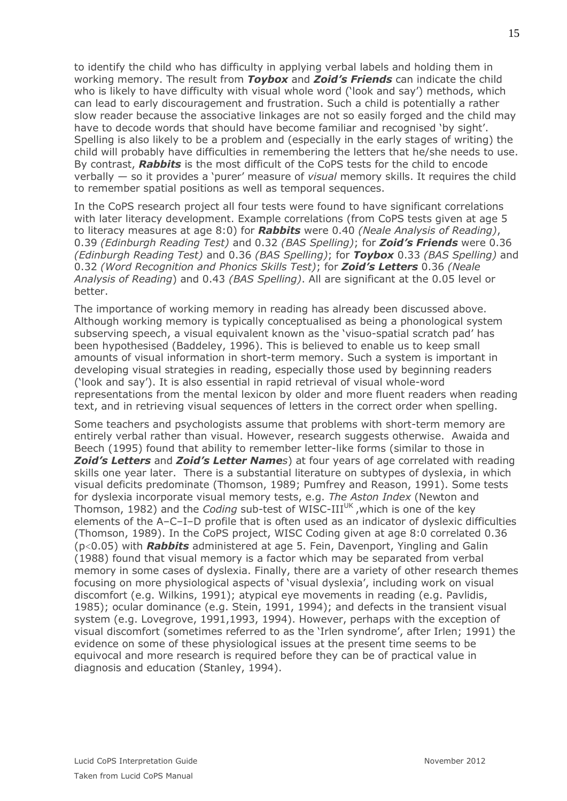to identify the child who has difficulty in applying verbal labels and holding them in working memory. The result from *Toybox* and *Zoid's Friends* can indicate the child who is likely to have difficulty with visual whole word ('look and say') methods, which can lead to early discouragement and frustration. Such a child is potentially a rather slow reader because the associative linkages are not so easily forged and the child may have to decode words that should have become familiar and recognised 'by sight'. Spelling is also likely to be a problem and (especially in the early stages of writing) the child will probably have difficulties in remembering the letters that he/she needs to use. By contrast, *Rabbits* is the most difficult of the CoPS tests for the child to encode verbally — so it provides a 'purer' measure of *visual* memory skills. It requires the child to remember spatial positions as well as temporal sequences.

In the CoPS research project all four tests were found to have significant correlations with later literacy development. Example correlations (from CoPS tests given at age 5 to literacy measures at age 8:0) for *Rabbits* were 0.40 *(Neale Analysis of Reading)*, 0.39 *(Edinburgh Reading Test)* and 0.32 *(BAS Spelling)*; for *Zoid's Friends* were 0.36 *(Edinburgh Reading Test)* and 0.36 *(BAS Spelling)*; for *Toybox* 0.33 *(BAS Spelling)* and 0.32 *(Word Recognition and Phonics Skills Test)*; for *Zoid's Letters* 0.36 *(Neale Analysis of Reading*) and 0.43 *(BAS Spelling)*. All are significant at the 0.05 level or better.

The importance of working memory in reading has already been discussed above. Although working memory is typically conceptualised as being a phonological system subserving speech, a visual equivalent known as the 'visuo-spatial scratch pad' has been hypothesised (Baddeley, 1996). This is believed to enable us to keep small amounts of visual information in short-term memory. Such a system is important in developing visual strategies in reading, especially those used by beginning readers ('look and say'). It is also essential in rapid retrieval of visual whole-word representations from the mental lexicon by older and more fluent readers when reading text, and in retrieving visual sequences of letters in the correct order when spelling.

Some teachers and psychologists assume that problems with short-term memory are entirely verbal rather than visual. However, research suggests otherwise. Awaida and Beech (1995) found that ability to remember letter-like forms (similar to those in *Zoid's Letters* and *Zoid's Letter Names*) at four years of age correlated with reading skills one year later. There is a substantial literature on subtypes of dyslexia, in which visual deficits predominate (Thomson, 1989; Pumfrey and Reason, 1991). Some tests for dyslexia incorporate visual memory tests, e.g. *The Aston Index* (Newton and Thomson, 1982) and the *Coding* sub-test of WISC-III<sup>UK</sup>, which is one of the key elements of the A–C–I–D profile that is often used as an indicator of dyslexic difficulties (Thomson, 1989). In the CoPS project, WISC Coding given at age 8:0 correlated 0.36 (p<0.05) with *Rabbits* administered at age 5. Fein, Davenport, Yingling and Galin (1988) found that visual memory is a factor which may be separated from verbal memory in some cases of dyslexia. Finally, there are a variety of other research themes focusing on more physiological aspects of 'visual dyslexia', including work on visual discomfort (e.g. Wilkins, 1991); atypical eye movements in reading (e.g. Pavlidis, 1985); ocular dominance (e.g. Stein, 1991, 1994); and defects in the transient visual system (e.g. Lovegrove, 1991,1993, 1994). However, perhaps with the exception of visual discomfort (sometimes referred to as the 'Irlen syndrome', after Irlen; 1991) the evidence on some of these physiological issues at the present time seems to be equivocal and more research is required before they can be of practical value in diagnosis and education (Stanley, 1994).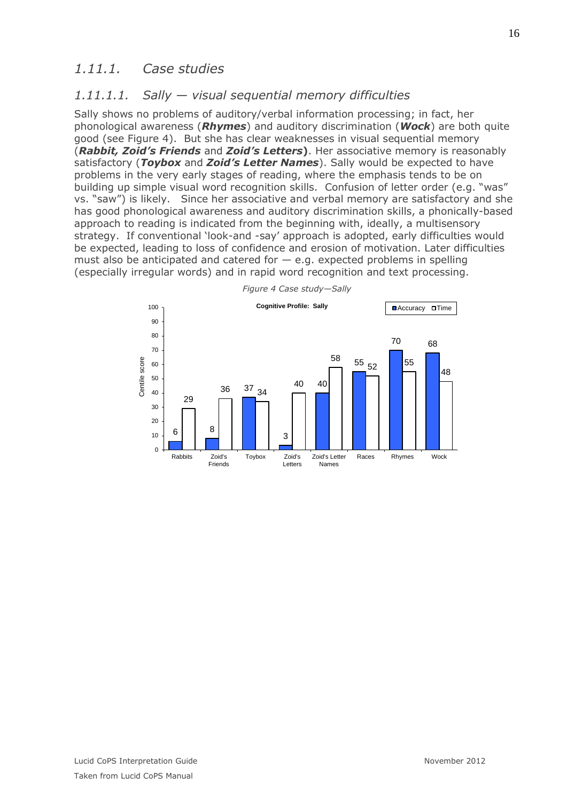### *1.11.1. Case studies*

#### *1.11.1.1. Sally — visual sequential memory difficulties*

Sally shows no problems of auditory/verbal information processing; in fact, her phonological awareness (*Rhymes*) and auditory discrimination (*Wock*) are both quite good (see [Figure 4\)](#page-15-0). But she has clear weaknesses in visual sequential memory (*Rabbit, Zoid's Friends* and *Zoid's Letters***)**. Her associative memory is reasonably satisfactory (*Toybox* and *Zoid's Letter Names*). Sally would be expected to have problems in the very early stages of reading, where the emphasis tends to be on building up simple visual word recognition skills. Confusion of letter order (e.g. "was" vs. "saw") is likely. Since her associative and verbal memory are satisfactory and she has good phonological awareness and auditory discrimination skills, a phonically-based approach to reading is indicated from the beginning with, ideally, a multisensory strategy. If conventional 'look-and -say' approach is adopted, early difficulties would be expected, leading to loss of confidence and erosion of motivation. Later difficulties must also be anticipated and catered for  $-$  e.g. expected problems in spelling (especially irregular words) and in rapid word recognition and text processing.

<span id="page-15-0"></span>

*Figure 4 Case study—Sally*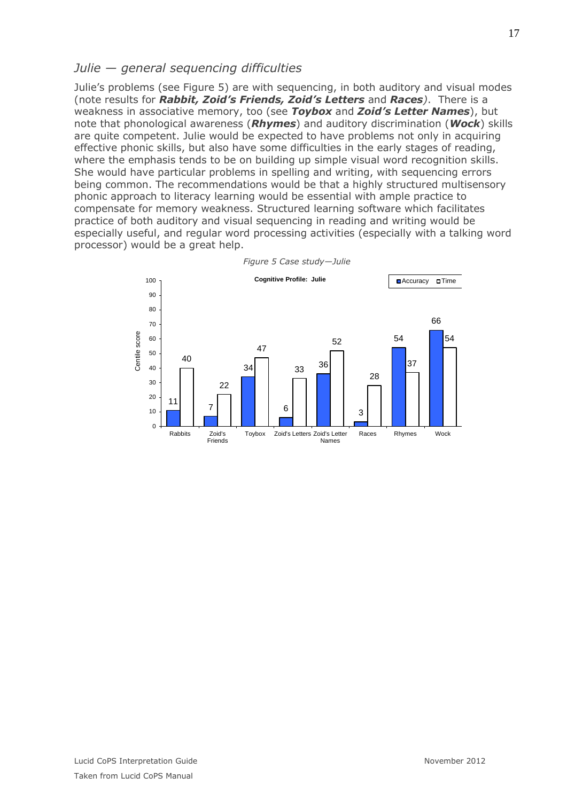#### *Julie — general sequencing difficulties*

Julie's problems (see [Figure 5\)](#page-16-0) are with sequencing, in both auditory and visual modes (note results for *Rabbit, Zoid's Friends, Zoid's Letters* and *Races)*. There is a weakness in associative memory, too (see *Toybox* and *Zoid's Letter Names*), but note that phonological awareness (*Rhymes*) and auditory discrimination (*Wock*) skills are quite competent. Julie would be expected to have problems not only in acquiring effective phonic skills, but also have some difficulties in the early stages of reading, where the emphasis tends to be on building up simple visual word recognition skills. She would have particular problems in spelling and writing, with sequencing errors being common. The recommendations would be that a highly structured multisensory phonic approach to literacy learning would be essential with ample practice to compensate for memory weakness. Structured learning software which facilitates practice of both auditory and visual sequencing in reading and writing would be especially useful, and regular word processing activities (especially with a talking word processor) would be a great help.

<span id="page-16-0"></span>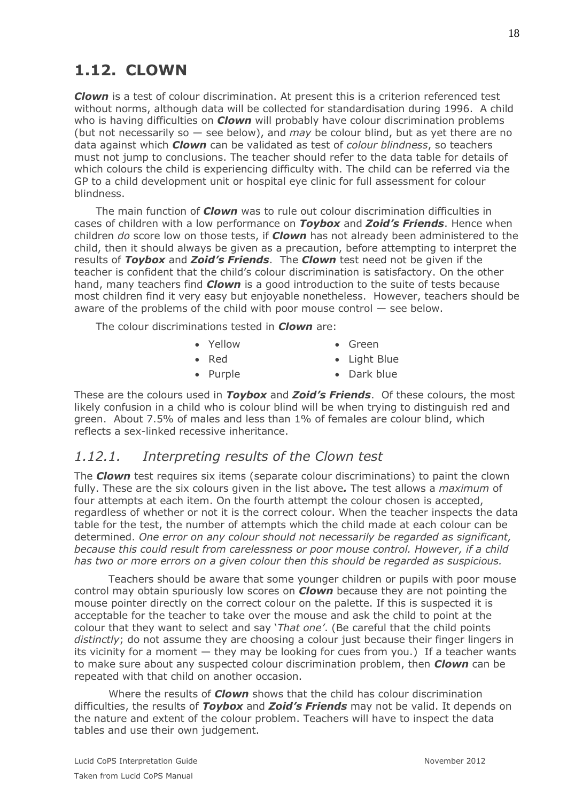*Clown* is a test of colour discrimination. At present this is a criterion referenced test without norms, although data will be collected for standardisation during 1996. A child who is having difficulties on *Clown* will probably have colour discrimination problems (but not necessarily so — see below), and *may* be colour blind, but as yet there are no data against which *Clown* can be validated as test of *colour blindness*, so teachers must not jump to conclusions. The teacher should refer to the data table for details of which colours the child is experiencing difficulty with. The child can be referred via the GP to a child development unit or hospital eye clinic for full assessment for colour blindness.

The main function of *Clown* was to rule out colour discrimination difficulties in cases of children with a low performance on *Toybox* and *Zoid's Friends*. Hence when children *do* score low on those tests, if *Clown* has not already been administered to the child, then it should always be given as a precaution, before attempting to interpret the results of *Toybox* and *Zoid's Friends*. The *Clown* test need not be given if the teacher is confident that the child's colour discrimination is satisfactory. On the other hand, many teachers find *Clown* is a good introduction to the suite of tests because most children find it very easy but enjoyable nonetheless. However, teachers should be aware of the problems of the child with poor mouse control — see below.

The colour discriminations tested in *Clown* are:

- Yellow Green
- Red
- 

• Light Blue • Dark blue

• Purple

These are the colours used in *Toybox* and *Zoid's Friends*. Of these colours, the most likely confusion in a child who is colour blind will be when trying to distinguish red and green. About 7.5% of males and less than 1% of females are colour blind, which reflects a sex-linked recessive inheritance.

### *1.12.1. Interpreting results of the Clown test*

The *Clown* test requires six items (separate colour discriminations) to paint the clown fully. These are the six colours given in the list above*.* The test allows a *maximum* of four attempts at each item. On the fourth attempt the colour chosen is accepted, regardless of whether or not it is the correct colour. When the teacher inspects the data table for the test, the number of attempts which the child made at each colour can be determined. *One error on any colour should not necessarily be regarded as significant, because this could result from carelessness or poor mouse control. However, if a child has two or more errors on a given colour then this should be regarded as suspicious.* 

Teachers should be aware that some younger children or pupils with poor mouse control may obtain spuriously low scores on *Clown* because they are not pointing the mouse pointer directly on the correct colour on the palette. If this is suspected it is acceptable for the teacher to take over the mouse and ask the child to point at the colour that they want to select and say '*That one'*. (Be careful that the child points distinctly; do not assume they are choosing a colour just because their finger lingers in its vicinity for a moment — they may be looking for cues from you.) If a teacher wants to make sure about any suspected colour discrimination problem, then *Clown* can be repeated with that child on another occasion.

Where the results of *Clown* shows that the child has colour discrimination difficulties, the results of *Toybox* and *Zoid's Friends* may not be valid. It depends on the nature and extent of the colour problem. Teachers will have to inspect the data tables and use their own judgement.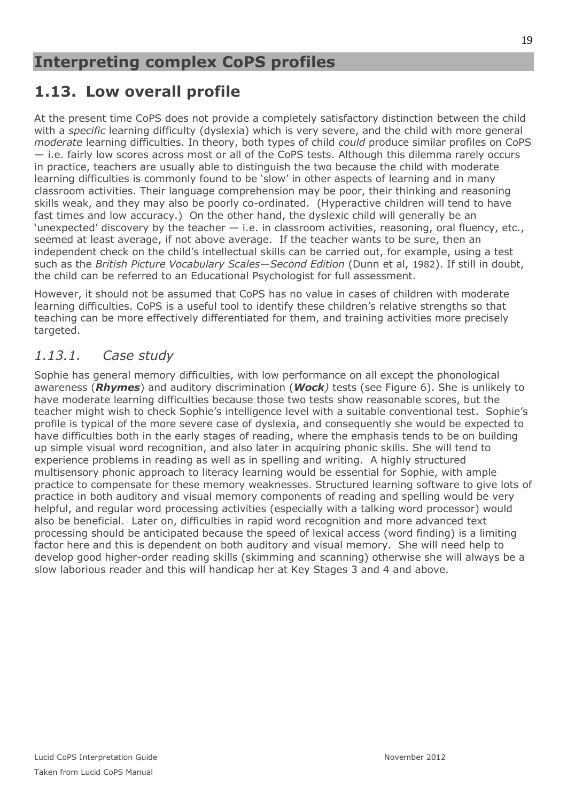# **1.13. Low overall profile**

At the present time CoPS does not provide a completely satisfactory distinction between the child with a *specific* learning difficulty (dyslexia) which is very severe, and the child with more general *moderate* learning difficulties. In theory, both types of child *could* produce similar profiles on CoPS — i.e. fairly low scores across most or all of the CoPS tests. Although this dilemma rarely occurs in practice, teachers are usually able to distinguish the two because the child with moderate learning difficulties is commonly found to be 'slow' in other aspects of learning and in many classroom activities. Their language comprehension may be poor, their thinking and reasoning skills weak, and they may also be poorly co-ordinated. (Hyperactive children will tend to have fast times and low accuracy.) On the other hand, the dyslexic child will generally be an 'unexpected' discovery by the teacher  $-$  i.e. in classroom activities, reasoning, oral fluency, etc., seemed at least average, if not above average. If the teacher wants to be sure, then an independent check on the child's intellectual skills can be carried out, for example, using a test such as the *British Picture Vocabulary Scales*—*Second Edition* (Dunn et al, 1982). If still in doubt, the child can be referred to an Educational Psychologist for full assessment.

However, it should not be assumed that CoPS has no value in cases of children with moderate learning difficulties. CoPS is a useful tool to identify these children's relative strengths so that teaching can be more effectively differentiated for them, and training activities more precisely targeted.

### *1.13.1. Case study*

Sophie has general memory difficulties, with low performance on all except the phonological awareness (*Rhymes*) and auditory discrimination (*Wock)* tests (see [Figure 6\)](#page-19-0). She is unlikely to have moderate learning difficulties because those two tests show reasonable scores, but the teacher might wish to check Sophie's intelligence level with a suitable conventional test. Sophie's profile is typical of the more severe case of dyslexia, and consequently she would be expected to have difficulties both in the early stages of reading, where the emphasis tends to be on building up simple visual word recognition, and also later in acquiring phonic skills. She will tend to experience problems in reading as well as in spelling and writing. A highly structured multisensory phonic approach to literacy learning would be essential for Sophie, with ample practice to compensate for these memory weaknesses. Structured learning software to give lots of practice in both auditory and visual memory components of reading and spelling would be very helpful, and regular word processing activities (especially with a talking word processor) would also be beneficial. Later on, difficulties in rapid word recognition and more advanced text processing should be anticipated because the speed of lexical access (word finding) is a limiting factor here and this is dependent on both auditory and visual memory. She will need help to develop good higher-order reading skills (skimming and scanning) otherwise she will always be a slow laborious reader and this will handicap her at Key Stages 3 and 4 and above.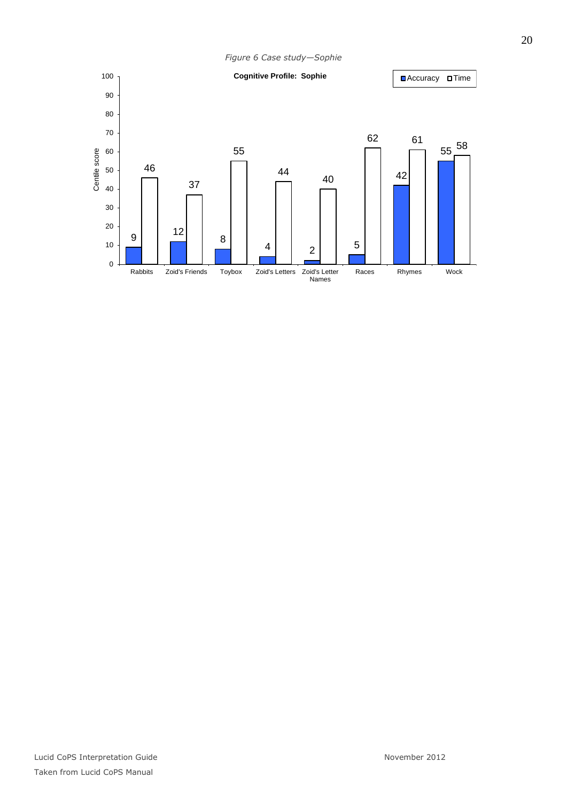<span id="page-19-0"></span>*Figure 6 Case study—Sophie* | 2  $\begin{array}{ccc} 62 & 61 & 55 \end{array}$  Rabbits Zoid's Friends Toybox Zoid's Letters Zoid's Letter Names Races Rhymes Wock Centile score **Cognitive Profile: Sophie Accuracy Dime**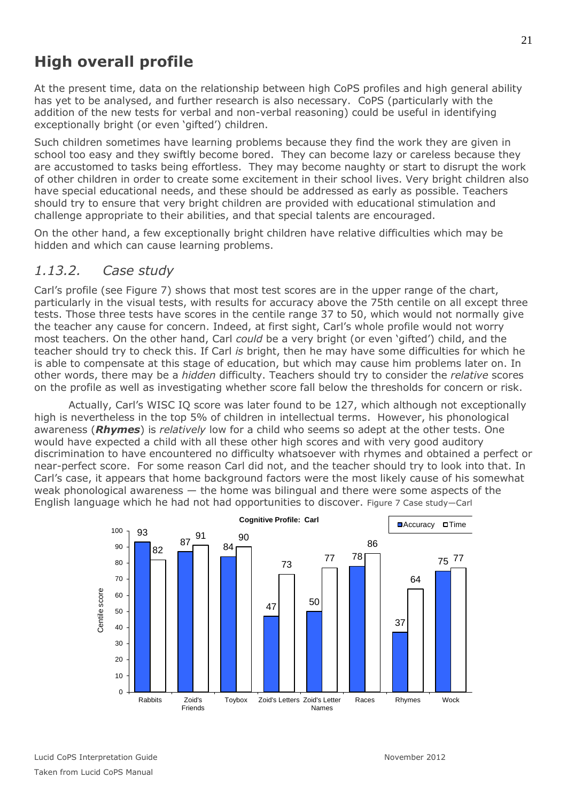# **High overall profile**

At the present time, data on the relationship between high CoPS profiles and high general ability has yet to be analysed, and further research is also necessary. CoPS (particularly with the addition of the new tests for verbal and non-verbal reasoning) could be useful in identifying exceptionally bright (or even 'gifted') children.

Such children sometimes have learning problems because they find the work they are given in school too easy and they swiftly become bored. They can become lazy or careless because they are accustomed to tasks being effortless. They may become naughty or start to disrupt the work of other children in order to create some excitement in their school lives. Very bright children also have special educational needs, and these should be addressed as early as possible. Teachers should try to ensure that very bright children are provided with educational stimulation and challenge appropriate to their abilities, and that special talents are encouraged.

On the other hand, a few exceptionally bright children have relative difficulties which may be hidden and which can cause learning problems.

#### *1.13.2. Case study*

Carl's profile (see [Figure 7\)](#page-20-0) shows that most test scores are in the upper range of the chart, particularly in the visual tests, with results for accuracy above the 75th centile on all except three tests. Those three tests have scores in the centile range 37 to 50, which would not normally give the teacher any cause for concern. Indeed, at first sight, Carl's whole profile would not worry most teachers. On the other hand, Carl *could* be a very bright (or even 'gifted') child, and the teacher should try to check this. If Carl *is* bright, then he may have some difficulties for which he is able to compensate at this stage of education, but which may cause him problems later on. In other words, there may be a *hidden* difficulty. Teachers should try to consider the *relative* scores on the profile as well as investigating whether score fall below the thresholds for concern or risk.

Actually, Carl's WISC IQ score was later found to be 127, which although not exceptionally high is nevertheless in the top 5% of children in intellectual terms. However, his phonological awareness (*Rhymes*) is *relatively* low for a child who seems so adept at the other tests. One would have expected a child with all these other high scores and with very good auditory discrimination to have encountered no difficulty whatsoever with rhymes and obtained a perfect or near-perfect score. For some reason Carl did not, and the teacher should try to look into that. In Carl's case, it appears that home background factors were the most likely cause of his somewhat weak phonological awareness — the home was bilingual and there were some aspects of the English language which he had not had opportunities to discover. Figure 7 Case study—Carl

<span id="page-20-0"></span>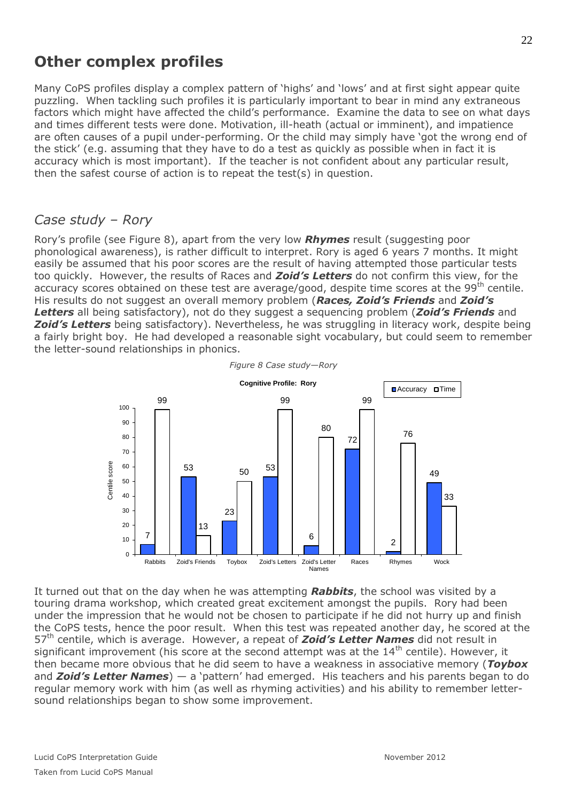## **Other complex profiles**

Many CoPS profiles display a complex pattern of 'highs' and 'lows' and at first sight appear quite puzzling. When tackling such profiles it is particularly important to bear in mind any extraneous factors which might have affected the child's performance. Examine the data to see on what days and times different tests were done. Motivation, ill-heath (actual or imminent), and impatience are often causes of a pupil under-performing. Or the child may simply have 'got the wrong end of the stick' (e.g. assuming that they have to do a test as quickly as possible when in fact it is accuracy which is most important). If the teacher is not confident about any particular result, then the safest course of action is to repeat the test(s) in question.

#### *Case study – Rory*

Rory's profile (see [Figure 8\)](#page-21-0), apart from the very low *Rhymes* result (suggesting poor phonological awareness), is rather difficult to interpret. Rory is aged 6 years 7 months. It might easily be assumed that his poor scores are the result of having attempted those particular tests too quickly. However, the results of Races and *Zoid's Letters* do not confirm this view, for the accuracy scores obtained on these test are average/good, despite time scores at the 99<sup>th</sup> centile. His results do not suggest an overall memory problem (*Races, Zoid's Friends* and *Zoid's Letters* all being satisfactory), not do they suggest a sequencing problem (*Zoid's Friends* and **Zoid's Letters** being satisfactory). Nevertheless, he was struggling in literacy work, despite being a fairly bright boy. He had developed a reasonable sight vocabulary, but could seem to remember the letter-sound relationships in phonics.

<span id="page-21-0"></span>

It turned out that on the day when he was attempting *Rabbits*, the school was visited by a touring drama workshop, which created great excitement amongst the pupils. Rory had been under the impression that he would not be chosen to participate if he did not hurry up and finish the CoPS tests, hence the poor result. When this test was repeated another day, he scored at the 57th centile, which is average. However, a repeat of *Zoid's Letter Names* did not result in significant improvement (his score at the second attempt was at the  $14<sup>th</sup>$  centile). However, it then became more obvious that he did seem to have a weakness in associative memory (*Toybox* and *Zoid's Letter Names*) — a 'pattern' had emerged. His teachers and his parents began to do regular memory work with him (as well as rhyming activities) and his ability to remember lettersound relationships began to show some improvement.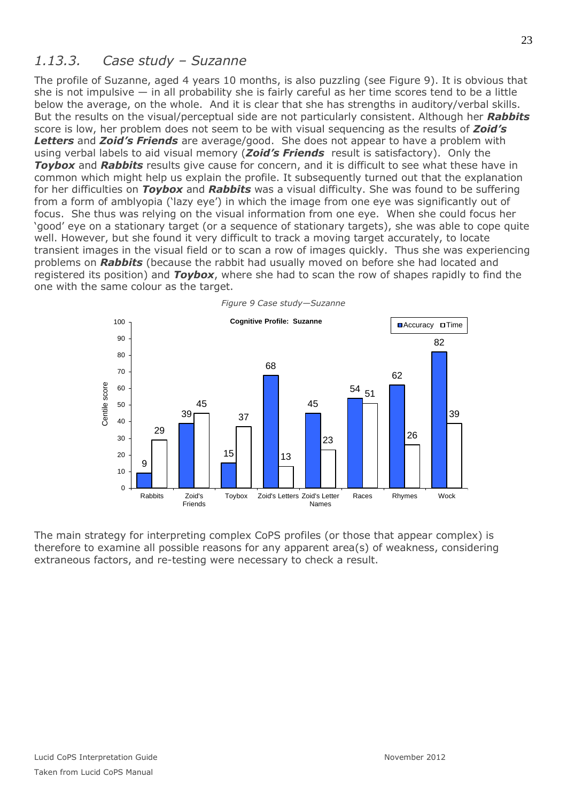### *1.13.3. Case study – Suzanne*

The profile of Suzanne, aged 4 years 10 months, is also puzzling (see [Figure 9\)](#page-22-0). It is obvious that she is not impulsive  $-$  in all probability she is fairly careful as her time scores tend to be a little below the average, on the whole. And it is clear that she has strengths in auditory/verbal skills. But the results on the visual/perceptual side are not particularly consistent. Although her *Rabbits* score is low, her problem does not seem to be with visual sequencing as the results of *Zoid's Letters* and *Zoid's Friends* are average/good. She does not appear to have a problem with using verbal labels to aid visual memory (*Zoid's Friends* result is satisfactory). Only the *Toybox* and *Rabbits* results give cause for concern, and it is difficult to see what these have in common which might help us explain the profile. It subsequently turned out that the explanation for her difficulties on *Toybox* and *Rabbits* was a visual difficulty. She was found to be suffering from a form of amblyopia ('lazy eye') in which the image from one eye was significantly out of focus. She thus was relying on the visual information from one eye. When she could focus her 'good' eye on a stationary target (or a sequence of stationary targets), she was able to cope quite well. However, but she found it very difficult to track a moving target accurately, to locate transient images in the visual field or to scan a row of images quickly. Thus she was experiencing problems on *Rabbits* (because the rabbit had usually moved on before she had located and registered its position) and *Toybox*, where she had to scan the row of shapes rapidly to find the one with the same colour as the target.

<span id="page-22-0"></span>

The main strategy for interpreting complex CoPS profiles (or those that appear complex) is therefore to examine all possible reasons for any apparent area(s) of weakness, considering extraneous factors, and re-testing were necessary to check a result.